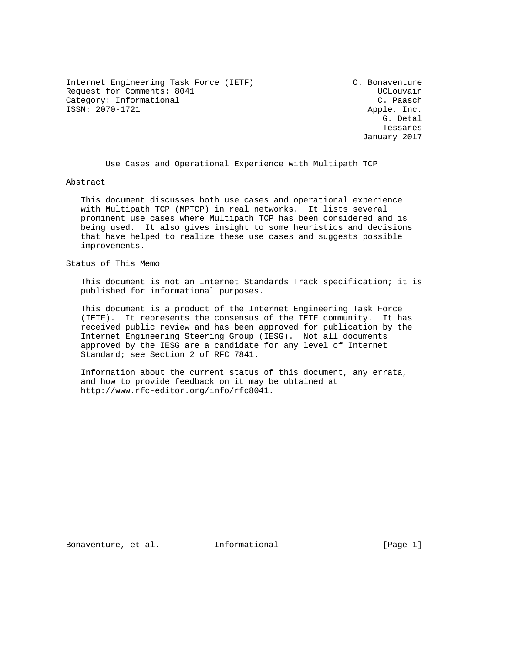Internet Engineering Task Force (IETF) O. Bonaventure Request for Comments: 8041 and the control of the UCL ouvain Category: Informational Category: C. Paasch ISSN: 2070-1721 Apple, Inc.

 G. Detal Tessares January 2017

Use Cases and Operational Experience with Multipath TCP

Abstract

 This document discusses both use cases and operational experience with Multipath TCP (MPTCP) in real networks. It lists several prominent use cases where Multipath TCP has been considered and is being used. It also gives insight to some heuristics and decisions that have helped to realize these use cases and suggests possible improvements.

Status of This Memo

 This document is not an Internet Standards Track specification; it is published for informational purposes.

 This document is a product of the Internet Engineering Task Force (IETF). It represents the consensus of the IETF community. It has received public review and has been approved for publication by the Internet Engineering Steering Group (IESG). Not all documents approved by the IESG are a candidate for any level of Internet Standard; see Section 2 of RFC 7841.

 Information about the current status of this document, any errata, and how to provide feedback on it may be obtained at http://www.rfc-editor.org/info/rfc8041.

Bonaventure, et al. Informational [Page 1]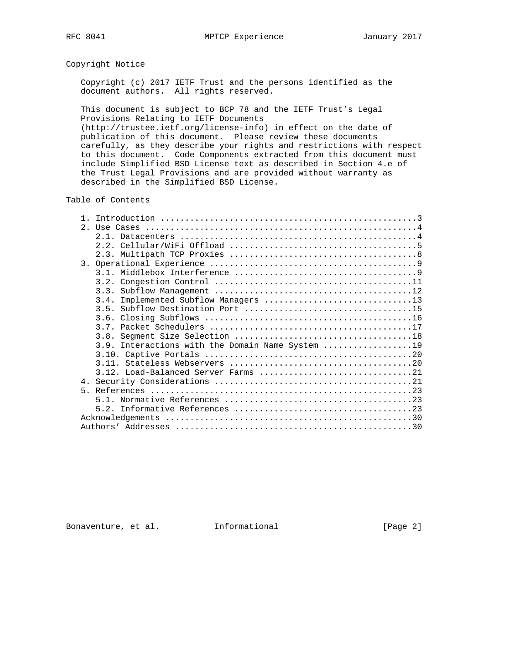# Copyright Notice

 Copyright (c) 2017 IETF Trust and the persons identified as the document authors. All rights reserved.

 This document is subject to BCP 78 and the IETF Trust's Legal Provisions Relating to IETF Documents (http://trustee.ietf.org/license-info) in effect on the date of publication of this document. Please review these documents carefully, as they describe your rights and restrictions with respect to this document. Code Components extracted from this document must include Simplified BSD License text as described in Section 4.e of the Trust Legal Provisions and are provided without warranty as

#### Table of Contents

described in the Simplified BSD License.

| $2^{\circ}$ |                                                  |
|-------------|--------------------------------------------------|
|             |                                                  |
|             |                                                  |
|             |                                                  |
|             |                                                  |
|             |                                                  |
|             |                                                  |
|             |                                                  |
|             | Implemented Subflow Managers 13<br>3.4.          |
|             |                                                  |
|             |                                                  |
|             |                                                  |
|             |                                                  |
|             | 3.9. Interactions with the Domain Name System 19 |
|             |                                                  |
|             |                                                  |
|             | 3.12. Load-Balanced Server Farms 21              |
|             |                                                  |
| $5 -$       |                                                  |
|             |                                                  |
|             |                                                  |
|             |                                                  |
|             |                                                  |

Bonaventure, et al. Informational [Page 2]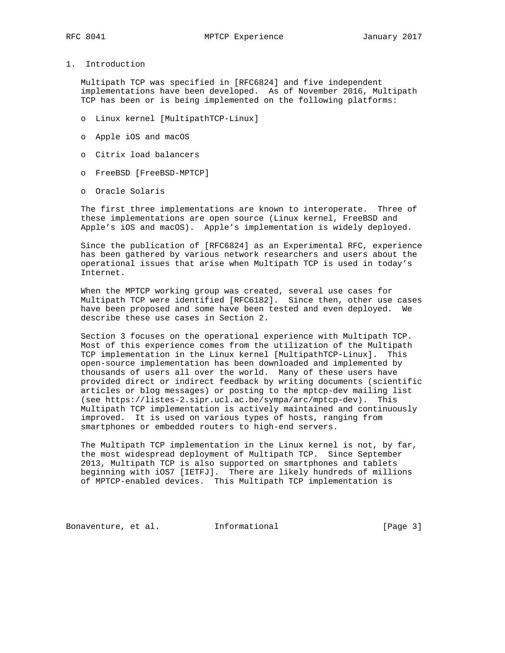1. Introduction

 Multipath TCP was specified in [RFC6824] and five independent implementations have been developed. As of November 2016, Multipath TCP has been or is being implemented on the following platforms:

- o Linux kernel [MultipathTCP-Linux]
- o Apple iOS and macOS
- o Citrix load balancers
- o FreeBSD [FreeBSD-MPTCP]
- o Oracle Solaris

 The first three implementations are known to interoperate. Three of these implementations are open source (Linux kernel, FreeBSD and Apple's iOS and macOS). Apple's implementation is widely deployed.

 Since the publication of [RFC6824] as an Experimental RFC, experience has been gathered by various network researchers and users about the operational issues that arise when Multipath TCP is used in today's Internet.

 When the MPTCP working group was created, several use cases for Multipath TCP were identified [RFC6182]. Since then, other use cases have been proposed and some have been tested and even deployed. We describe these use cases in Section 2.

 Section 3 focuses on the operational experience with Multipath TCP. Most of this experience comes from the utilization of the Multipath TCP implementation in the Linux kernel [MultipathTCP-Linux]. This open-source implementation has been downloaded and implemented by thousands of users all over the world. Many of these users have provided direct or indirect feedback by writing documents (scientific articles or blog messages) or posting to the mptcp-dev mailing list (see https://listes-2.sipr.ucl.ac.be/sympa/arc/mptcp-dev). This Multipath TCP implementation is actively maintained and continuously improved. It is used on various types of hosts, ranging from smartphones or embedded routers to high-end servers.

 The Multipath TCP implementation in the Linux kernel is not, by far, the most widespread deployment of Multipath TCP. Since September 2013, Multipath TCP is also supported on smartphones and tablets beginning with iOS7 [IETFJ]. There are likely hundreds of millions of MPTCP-enabled devices. This Multipath TCP implementation is

Bonaventure, et al. Informational [Page 3]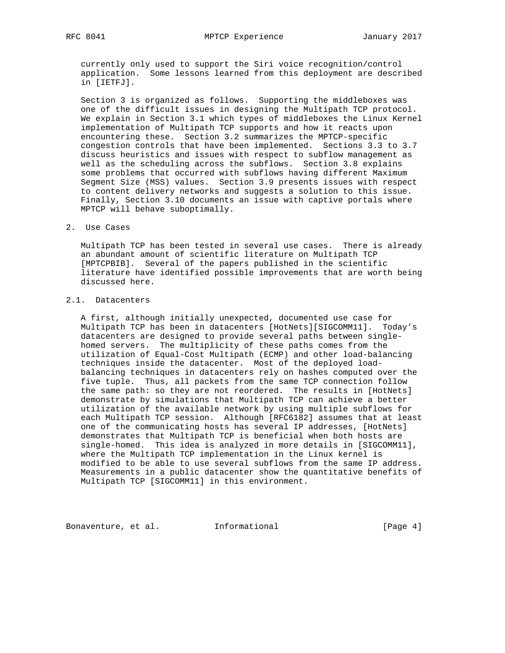currently only used to support the Siri voice recognition/control application. Some lessons learned from this deployment are described in [IETFJ].

 Section 3 is organized as follows. Supporting the middleboxes was one of the difficult issues in designing the Multipath TCP protocol. We explain in Section 3.1 which types of middleboxes the Linux Kernel implementation of Multipath TCP supports and how it reacts upon encountering these. Section 3.2 summarizes the MPTCP-specific congestion controls that have been implemented. Sections 3.3 to 3.7 discuss heuristics and issues with respect to subflow management as well as the scheduling across the subflows. Section 3.8 explains some problems that occurred with subflows having different Maximum Segment Size (MSS) values. Section 3.9 presents issues with respect to content delivery networks and suggests a solution to this issue. Finally, Section 3.10 documents an issue with captive portals where MPTCP will behave suboptimally.

# 2. Use Cases

 Multipath TCP has been tested in several use cases. There is already an abundant amount of scientific literature on Multipath TCP [MPTCPBIB]. Several of the papers published in the scientific literature have identified possible improvements that are worth being discussed here.

# 2.1. Datacenters

 A first, although initially unexpected, documented use case for Multipath TCP has been in datacenters [HotNets][SIGCOMM11]. Today's datacenters are designed to provide several paths between single homed servers. The multiplicity of these paths comes from the utilization of Equal-Cost Multipath (ECMP) and other load-balancing techniques inside the datacenter. Most of the deployed load balancing techniques in datacenters rely on hashes computed over the five tuple. Thus, all packets from the same TCP connection follow the same path: so they are not reordered. The results in [HotNets] demonstrate by simulations that Multipath TCP can achieve a better utilization of the available network by using multiple subflows for each Multipath TCP session. Although [RFC6182] assumes that at least one of the communicating hosts has several IP addresses, [HotNets] demonstrates that Multipath TCP is beneficial when both hosts are single-homed. This idea is analyzed in more details in [SIGCOMM11], where the Multipath TCP implementation in the Linux kernel is modified to be able to use several subflows from the same IP address. Measurements in a public datacenter show the quantitative benefits of Multipath TCP [SIGCOMM11] in this environment.

Bonaventure, et al. 1nformational 1999 [Page 4]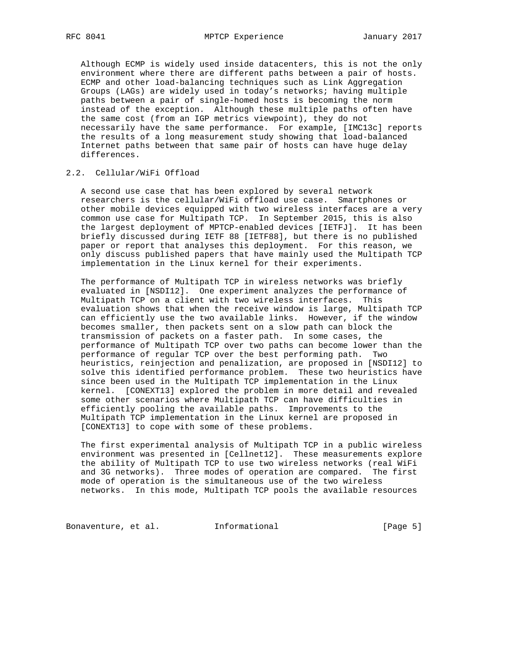Although ECMP is widely used inside datacenters, this is not the only environment where there are different paths between a pair of hosts. ECMP and other load-balancing techniques such as Link Aggregation Groups (LAGs) are widely used in today's networks; having multiple paths between a pair of single-homed hosts is becoming the norm instead of the exception. Although these multiple paths often have the same cost (from an IGP metrics viewpoint), they do not necessarily have the same performance. For example, [IMC13c] reports the results of a long measurement study showing that load-balanced Internet paths between that same pair of hosts can have huge delay differences.

# 2.2. Cellular/WiFi Offload

 A second use case that has been explored by several network researchers is the cellular/WiFi offload use case. Smartphones or other mobile devices equipped with two wireless interfaces are a very common use case for Multipath TCP. In September 2015, this is also the largest deployment of MPTCP-enabled devices [IETFJ]. It has been briefly discussed during IETF 88 [IETF88], but there is no published paper or report that analyses this deployment. For this reason, we only discuss published papers that have mainly used the Multipath TCP implementation in the Linux kernel for their experiments.

 The performance of Multipath TCP in wireless networks was briefly evaluated in [NSDI12]. One experiment analyzes the performance of Multipath TCP on a client with two wireless interfaces. This evaluation shows that when the receive window is large, Multipath TCP can efficiently use the two available links. However, if the window becomes smaller, then packets sent on a slow path can block the transmission of packets on a faster path. In some cases, the performance of Multipath TCP over two paths can become lower than the performance of regular TCP over the best performing path. Two heuristics, reinjection and penalization, are proposed in [NSDI12] to solve this identified performance problem. These two heuristics have since been used in the Multipath TCP implementation in the Linux kernel. [CONEXT13] explored the problem in more detail and revealed some other scenarios where Multipath TCP can have difficulties in efficiently pooling the available paths. Improvements to the Multipath TCP implementation in the Linux kernel are proposed in [CONEXT13] to cope with some of these problems.

 The first experimental analysis of Multipath TCP in a public wireless environment was presented in [Cellnet12]. These measurements explore the ability of Multipath TCP to use two wireless networks (real WiFi and 3G networks). Three modes of operation are compared. The first mode of operation is the simultaneous use of the two wireless networks. In this mode, Multipath TCP pools the available resources

Bonaventure, et al. 1nformational 1999 [Page 5]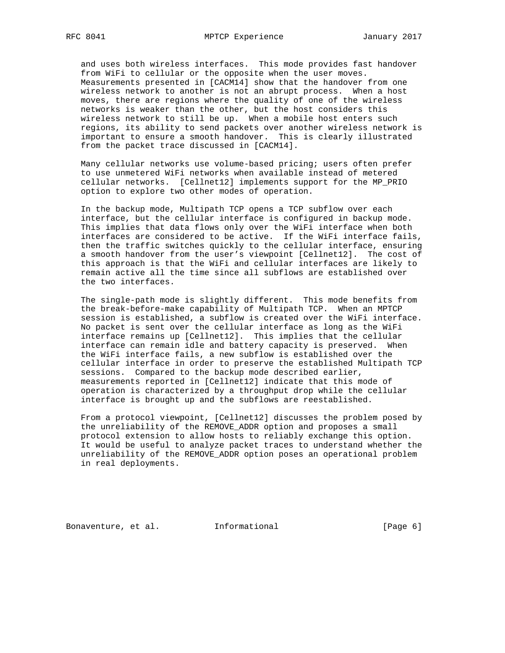and uses both wireless interfaces. This mode provides fast handover from WiFi to cellular or the opposite when the user moves. Measurements presented in [CACM14] show that the handover from one wireless network to another is not an abrupt process. When a host moves, there are regions where the quality of one of the wireless networks is weaker than the other, but the host considers this wireless network to still be up. When a mobile host enters such regions, its ability to send packets over another wireless network is important to ensure a smooth handover. This is clearly illustrated from the packet trace discussed in [CACM14].

 Many cellular networks use volume-based pricing; users often prefer to use unmetered WiFi networks when available instead of metered cellular networks. [Cellnet12] implements support for the MP\_PRIO option to explore two other modes of operation.

 In the backup mode, Multipath TCP opens a TCP subflow over each interface, but the cellular interface is configured in backup mode. This implies that data flows only over the WiFi interface when both interfaces are considered to be active. If the WiFi interface fails, then the traffic switches quickly to the cellular interface, ensuring a smooth handover from the user's viewpoint [Cellnet12]. The cost of this approach is that the WiFi and cellular interfaces are likely to remain active all the time since all subflows are established over the two interfaces.

 The single-path mode is slightly different. This mode benefits from the break-before-make capability of Multipath TCP. When an MPTCP session is established, a subflow is created over the WiFi interface. No packet is sent over the cellular interface as long as the WiFi interface remains up [Cellnet12]. This implies that the cellular interface can remain idle and battery capacity is preserved. When the WiFi interface fails, a new subflow is established over the cellular interface in order to preserve the established Multipath TCP sessions. Compared to the backup mode described earlier, measurements reported in [Cellnet12] indicate that this mode of operation is characterized by a throughput drop while the cellular interface is brought up and the subflows are reestablished.

 From a protocol viewpoint, [Cellnet12] discusses the problem posed by the unreliability of the REMOVE\_ADDR option and proposes a small protocol extension to allow hosts to reliably exchange this option. It would be useful to analyze packet traces to understand whether the unreliability of the REMOVE\_ADDR option poses an operational problem in real deployments.

Bonaventure, et al. Informational [Page 6]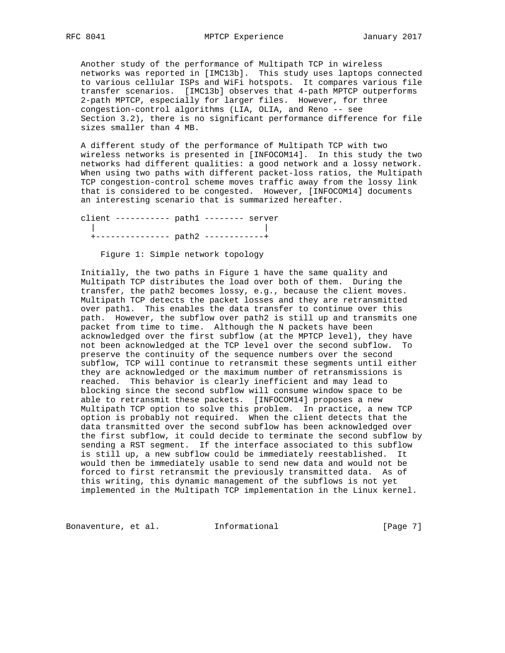Another study of the performance of Multipath TCP in wireless networks was reported in [IMC13b]. This study uses laptops connected to various cellular ISPs and WiFi hotspots. It compares various file transfer scenarios. [IMC13b] observes that 4-path MPTCP outperforms 2-path MPTCP, especially for larger files. However, for three congestion-control algorithms (LIA, OLIA, and Reno -- see Section 3.2), there is no significant performance difference for file sizes smaller than 4 MB.

 A different study of the performance of Multipath TCP with two wireless networks is presented in [INFOCOM14]. In this study the two networks had different qualities: a good network and a lossy network. When using two paths with different packet-loss ratios, the Multipath TCP congestion-control scheme moves traffic away from the lossy link that is considered to be congested. However, [INFOCOM14] documents an interesting scenario that is summarized hereafter.

 client ----------- path1 -------- server | | +--------------- path2 ------------+

Figure 1: Simple network topology

 Initially, the two paths in Figure 1 have the same quality and Multipath TCP distributes the load over both of them. During the transfer, the path2 becomes lossy, e.g., because the client moves. Multipath TCP detects the packet losses and they are retransmitted over path1. This enables the data transfer to continue over this path. However, the subflow over path2 is still up and transmits one packet from time to time. Although the N packets have been acknowledged over the first subflow (at the MPTCP level), they have not been acknowledged at the TCP level over the second subflow. To preserve the continuity of the sequence numbers over the second subflow, TCP will continue to retransmit these segments until either they are acknowledged or the maximum number of retransmissions is reached. This behavior is clearly inefficient and may lead to blocking since the second subflow will consume window space to be able to retransmit these packets. [INFOCOM14] proposes a new Multipath TCP option to solve this problem. In practice, a new TCP option is probably not required. When the client detects that the data transmitted over the second subflow has been acknowledged over the first subflow, it could decide to terminate the second subflow by sending a RST segment. If the interface associated to this subflow is still up, a new subflow could be immediately reestablished. It would then be immediately usable to send new data and would not be forced to first retransmit the previously transmitted data. As of this writing, this dynamic management of the subflows is not yet implemented in the Multipath TCP implementation in the Linux kernel.

Bonaventure, et al. 1nformational 1999 [Page 7]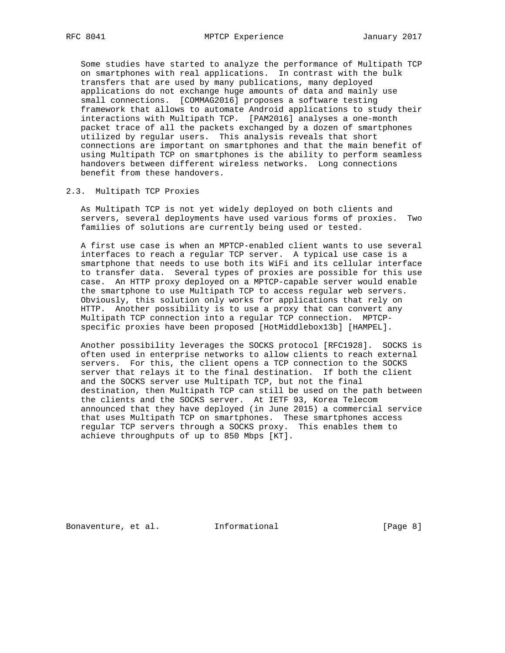Some studies have started to analyze the performance of Multipath TCP on smartphones with real applications. In contrast with the bulk transfers that are used by many publications, many deployed applications do not exchange huge amounts of data and mainly use small connections. [COMMAG2016] proposes a software testing framework that allows to automate Android applications to study their interactions with Multipath TCP. [PAM2016] analyses a one-month packet trace of all the packets exchanged by a dozen of smartphones utilized by regular users. This analysis reveals that short connections are important on smartphones and that the main benefit of using Multipath TCP on smartphones is the ability to perform seamless handovers between different wireless networks. Long connections benefit from these handovers.

## 2.3. Multipath TCP Proxies

 As Multipath TCP is not yet widely deployed on both clients and servers, several deployments have used various forms of proxies. Two families of solutions are currently being used or tested.

 A first use case is when an MPTCP-enabled client wants to use several interfaces to reach a regular TCP server. A typical use case is a smartphone that needs to use both its WiFi and its cellular interface to transfer data. Several types of proxies are possible for this use case. An HTTP proxy deployed on a MPTCP-capable server would enable the smartphone to use Multipath TCP to access regular web servers. Obviously, this solution only works for applications that rely on HTTP. Another possibility is to use a proxy that can convert any Multipath TCP connection into a regular TCP connection. MPTCP specific proxies have been proposed [HotMiddlebox13b] [HAMPEL].

 Another possibility leverages the SOCKS protocol [RFC1928]. SOCKS is often used in enterprise networks to allow clients to reach external servers. For this, the client opens a TCP connection to the SOCKS server that relays it to the final destination. If both the client and the SOCKS server use Multipath TCP, but not the final destination, then Multipath TCP can still be used on the path between the clients and the SOCKS server. At IETF 93, Korea Telecom announced that they have deployed (in June 2015) a commercial service that uses Multipath TCP on smartphones. These smartphones access regular TCP servers through a SOCKS proxy. This enables them to achieve throughputs of up to 850 Mbps [KT].

Bonaventure, et al. 1nformational 1999 [Page 8]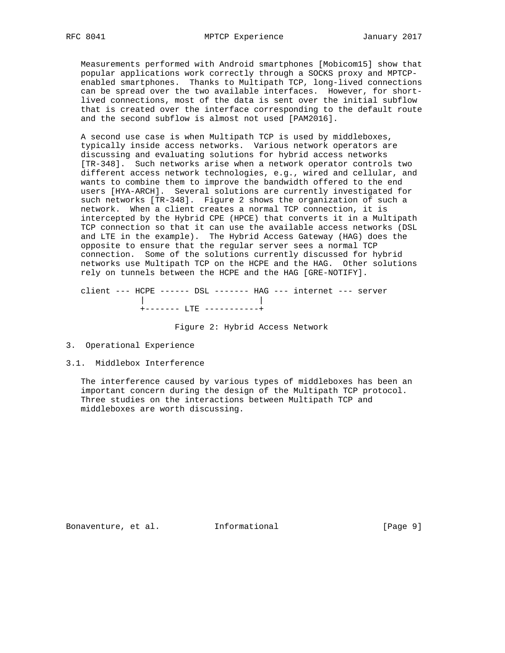Measurements performed with Android smartphones [Mobicom15] show that popular applications work correctly through a SOCKS proxy and MPTCP enabled smartphones. Thanks to Multipath TCP, long-lived connections can be spread over the two available interfaces. However, for short lived connections, most of the data is sent over the initial subflow that is created over the interface corresponding to the default route and the second subflow is almost not used [PAM2016].

 A second use case is when Multipath TCP is used by middleboxes, typically inside access networks. Various network operators are discussing and evaluating solutions for hybrid access networks [TR-348]. Such networks arise when a network operator controls two different access network technologies, e.g., wired and cellular, and wants to combine them to improve the bandwidth offered to the end users [HYA-ARCH]. Several solutions are currently investigated for such networks [TR-348]. Figure 2 shows the organization of such a network. When a client creates a normal TCP connection, it is intercepted by the Hybrid CPE (HPCE) that converts it in a Multipath TCP connection so that it can use the available access networks (DSL and LTE in the example). The Hybrid Access Gateway (HAG) does the opposite to ensure that the regular server sees a normal TCP connection. Some of the solutions currently discussed for hybrid networks use Multipath TCP on the HCPE and the HAG. Other solutions rely on tunnels between the HCPE and the HAG [GRE-NOTIFY].

 client --- HCPE ------ DSL ------- HAG --- internet --- server | | +------- LTE -----------+

Figure 2: Hybrid Access Network

3. Operational Experience

## 3.1. Middlebox Interference

 The interference caused by various types of middleboxes has been an important concern during the design of the Multipath TCP protocol. Three studies on the interactions between Multipath TCP and middleboxes are worth discussing.

Bonaventure, et al. 1nformational 1999 [Page 9]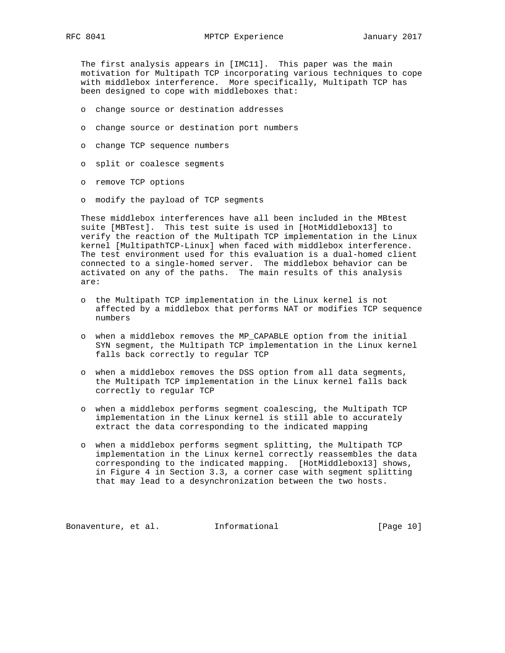The first analysis appears in [IMC11]. This paper was the main motivation for Multipath TCP incorporating various techniques to cope with middlebox interference. More specifically, Multipath TCP has been designed to cope with middleboxes that:

- o change source or destination addresses
- o change source or destination port numbers
- o change TCP sequence numbers
- o split or coalesce segments
- o remove TCP options
- o modify the payload of TCP segments

 These middlebox interferences have all been included in the MBtest suite [MBTest]. This test suite is used in [HotMiddlebox13] to verify the reaction of the Multipath TCP implementation in the Linux kernel [MultipathTCP-Linux] when faced with middlebox interference. The test environment used for this evaluation is a dual-homed client connected to a single-homed server. The middlebox behavior can be activated on any of the paths. The main results of this analysis are:

- o the Multipath TCP implementation in the Linux kernel is not affected by a middlebox that performs NAT or modifies TCP sequence numbers
- o when a middlebox removes the MP\_CAPABLE option from the initial SYN segment, the Multipath TCP implementation in the Linux kernel falls back correctly to regular TCP
- o when a middlebox removes the DSS option from all data segments, the Multipath TCP implementation in the Linux kernel falls back correctly to regular TCP
- o when a middlebox performs segment coalescing, the Multipath TCP implementation in the Linux kernel is still able to accurately extract the data corresponding to the indicated mapping
- o when a middlebox performs segment splitting, the Multipath TCP implementation in the Linux kernel correctly reassembles the data corresponding to the indicated mapping. [HotMiddlebox13] shows, in Figure 4 in Section 3.3, a corner case with segment splitting that may lead to a desynchronization between the two hosts.

Bonaventure, et al. 1nformational [Page 10]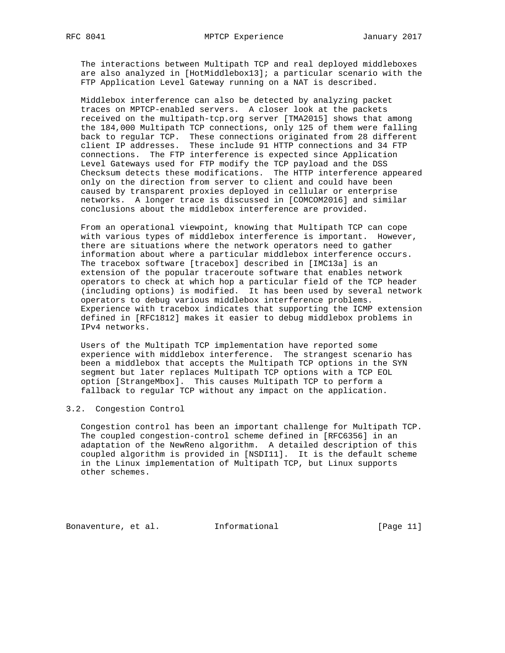The interactions between Multipath TCP and real deployed middleboxes are also analyzed in [HotMiddlebox13]; a particular scenario with the FTP Application Level Gateway running on a NAT is described.

 Middlebox interference can also be detected by analyzing packet traces on MPTCP-enabled servers. A closer look at the packets received on the multipath-tcp.org server [TMA2015] shows that among the 184,000 Multipath TCP connections, only 125 of them were falling back to regular TCP. These connections originated from 28 different client IP addresses. These include 91 HTTP connections and 34 FTP connections. The FTP interference is expected since Application Level Gateways used for FTP modify the TCP payload and the DSS Checksum detects these modifications. The HTTP interference appeared only on the direction from server to client and could have been caused by transparent proxies deployed in cellular or enterprise networks. A longer trace is discussed in [COMCOM2016] and similar conclusions about the middlebox interference are provided.

 From an operational viewpoint, knowing that Multipath TCP can cope with various types of middlebox interference is important. However, there are situations where the network operators need to gather information about where a particular middlebox interference occurs. The tracebox software [tracebox] described in [IMC13a] is an extension of the popular traceroute software that enables network operators to check at which hop a particular field of the TCP header (including options) is modified. It has been used by several network operators to debug various middlebox interference problems. Experience with tracebox indicates that supporting the ICMP extension defined in [RFC1812] makes it easier to debug middlebox problems in IPv4 networks.

 Users of the Multipath TCP implementation have reported some experience with middlebox interference. The strangest scenario has been a middlebox that accepts the Multipath TCP options in the SYN segment but later replaces Multipath TCP options with a TCP EOL option [StrangeMbox]. This causes Multipath TCP to perform a fallback to regular TCP without any impact on the application.

# 3.2. Congestion Control

 Congestion control has been an important challenge for Multipath TCP. The coupled congestion-control scheme defined in [RFC6356] in an adaptation of the NewReno algorithm. A detailed description of this coupled algorithm is provided in [NSDI11]. It is the default scheme in the Linux implementation of Multipath TCP, but Linux supports other schemes.

Bonaventure, et al. 1nformational 1999 [Page 11]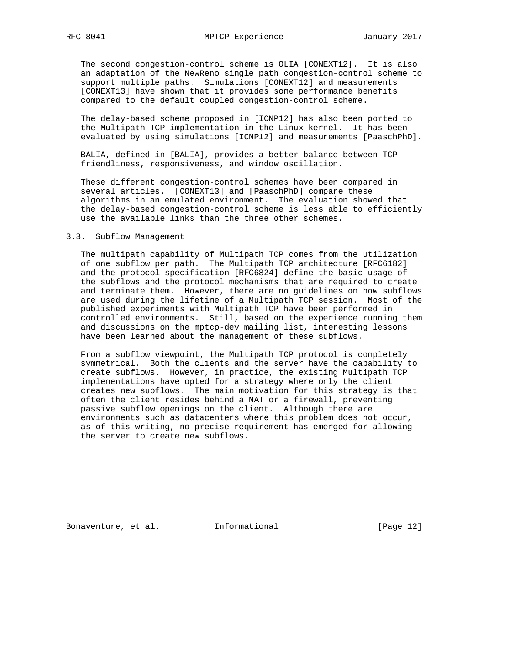The second congestion-control scheme is OLIA [CONEXT12]. It is also an adaptation of the NewReno single path congestion-control scheme to support multiple paths. Simulations [CONEXT12] and measurements [CONEXT13] have shown that it provides some performance benefits compared to the default coupled congestion-control scheme.

 The delay-based scheme proposed in [ICNP12] has also been ported to the Multipath TCP implementation in the Linux kernel. It has been evaluated by using simulations [ICNP12] and measurements [PaaschPhD].

 BALIA, defined in [BALIA], provides a better balance between TCP friendliness, responsiveness, and window oscillation.

 These different congestion-control schemes have been compared in several articles. [CONEXT13] and [PaaschPhD] compare these algorithms in an emulated environment. The evaluation showed that the delay-based congestion-control scheme is less able to efficiently use the available links than the three other schemes.

#### 3.3. Subflow Management

 The multipath capability of Multipath TCP comes from the utilization of one subflow per path. The Multipath TCP architecture [RFC6182] and the protocol specification [RFC6824] define the basic usage of the subflows and the protocol mechanisms that are required to create and terminate them. However, there are no guidelines on how subflows are used during the lifetime of a Multipath TCP session. Most of the published experiments with Multipath TCP have been performed in controlled environments. Still, based on the experience running them and discussions on the mptcp-dev mailing list, interesting lessons have been learned about the management of these subflows.

 From a subflow viewpoint, the Multipath TCP protocol is completely symmetrical. Both the clients and the server have the capability to create subflows. However, in practice, the existing Multipath TCP implementations have opted for a strategy where only the client creates new subflows. The main motivation for this strategy is that often the client resides behind a NAT or a firewall, preventing passive subflow openings on the client. Although there are environments such as datacenters where this problem does not occur, as of this writing, no precise requirement has emerged for allowing the server to create new subflows.

Bonaventure, et al. 1nformational [Page 12]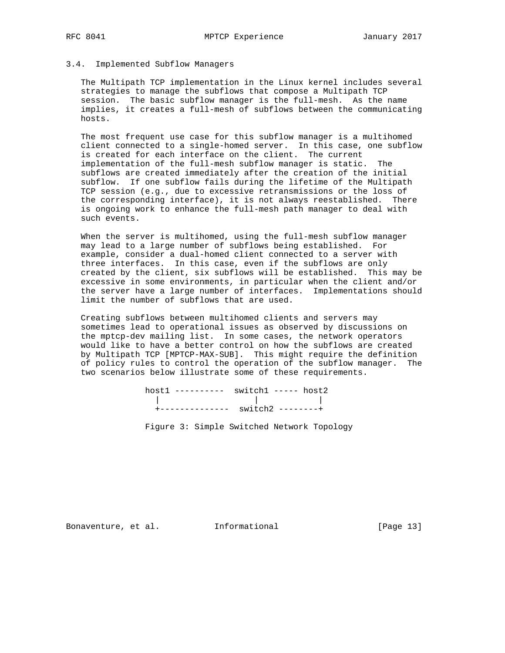## 3.4. Implemented Subflow Managers

 The Multipath TCP implementation in the Linux kernel includes several strategies to manage the subflows that compose a Multipath TCP session. The basic subflow manager is the full-mesh. As the name implies, it creates a full-mesh of subflows between the communicating hosts.

 The most frequent use case for this subflow manager is a multihomed client connected to a single-homed server. In this case, one subflow is created for each interface on the client. The current implementation of the full-mesh subflow manager is static. The subflows are created immediately after the creation of the initial subflow. If one subflow fails during the lifetime of the Multipath TCP session (e.g., due to excessive retransmissions or the loss of the corresponding interface), it is not always reestablished. There is ongoing work to enhance the full-mesh path manager to deal with such events.

 When the server is multihomed, using the full-mesh subflow manager may lead to a large number of subflows being established. For example, consider a dual-homed client connected to a server with three interfaces. In this case, even if the subflows are only created by the client, six subflows will be established. This may be excessive in some environments, in particular when the client and/or the server have a large number of interfaces. Implementations should limit the number of subflows that are used.

 Creating subflows between multihomed clients and servers may sometimes lead to operational issues as observed by discussions on the mptcp-dev mailing list. In some cases, the network operators would like to have a better control on how the subflows are created by Multipath TCP [MPTCP-MAX-SUB]. This might require the definition of policy rules to control the operation of the subflow manager. The two scenarios below illustrate some of these requirements.

 host1 ---------- switch1 ----- host2 | | | +-------------- switch2 --------+

Figure 3: Simple Switched Network Topology

Bonaventure, et al. 1nformational 1999 [Page 13]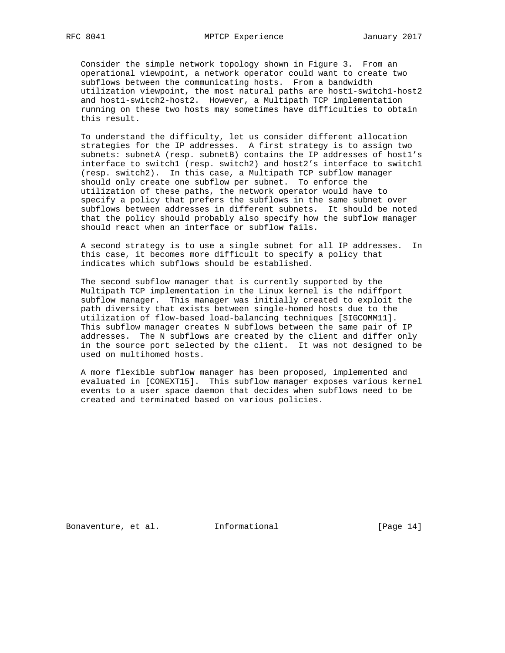Consider the simple network topology shown in Figure 3. From an operational viewpoint, a network operator could want to create two subflows between the communicating hosts. From a bandwidth utilization viewpoint, the most natural paths are host1-switch1-host2 and host1-switch2-host2. However, a Multipath TCP implementation running on these two hosts may sometimes have difficulties to obtain this result.

 To understand the difficulty, let us consider different allocation strategies for the IP addresses. A first strategy is to assign two subnets: subnetA (resp. subnetB) contains the IP addresses of host1's interface to switch1 (resp. switch2) and host2's interface to switch1 (resp. switch2). In this case, a Multipath TCP subflow manager should only create one subflow per subnet. To enforce the utilization of these paths, the network operator would have to specify a policy that prefers the subflows in the same subnet over subflows between addresses in different subnets. It should be noted that the policy should probably also specify how the subflow manager should react when an interface or subflow fails.

 A second strategy is to use a single subnet for all IP addresses. In this case, it becomes more difficult to specify a policy that indicates which subflows should be established.

 The second subflow manager that is currently supported by the Multipath TCP implementation in the Linux kernel is the ndiffport subflow manager. This manager was initially created to exploit the path diversity that exists between single-homed hosts due to the utilization of flow-based load-balancing techniques [SIGCOMM11]. This subflow manager creates N subflows between the same pair of IP addresses. The N subflows are created by the client and differ only in the source port selected by the client. It was not designed to be used on multihomed hosts.

 A more flexible subflow manager has been proposed, implemented and evaluated in [CONEXT15]. This subflow manager exposes various kernel events to a user space daemon that decides when subflows need to be created and terminated based on various policies.

Bonaventure, et al. 1nformational [Page 14]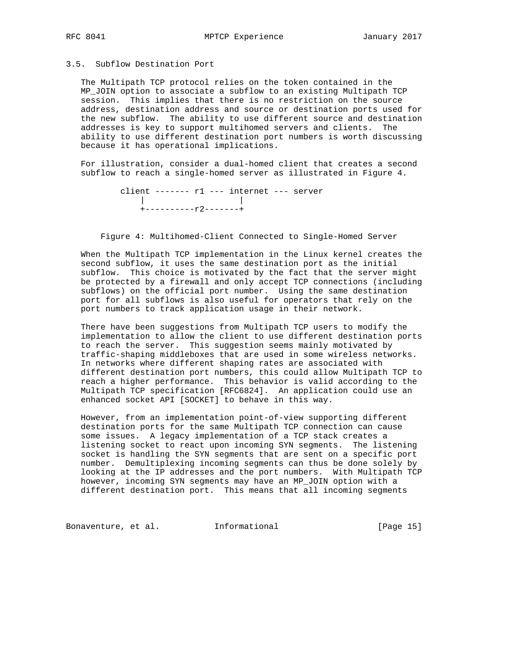# 3.5. Subflow Destination Port

 The Multipath TCP protocol relies on the token contained in the MP\_JOIN option to associate a subflow to an existing Multipath TCP session. This implies that there is no restriction on the source address, destination address and source or destination ports used for the new subflow. The ability to use different source and destination addresses is key to support multihomed servers and clients. The ability to use different destination port numbers is worth discussing because it has operational implications.

 For illustration, consider a dual-homed client that creates a second subflow to reach a single-homed server as illustrated in Figure 4.

 client ------- r1 --- internet --- server | | +----------r2-------+

Figure 4: Multihomed-Client Connected to Single-Homed Server

 When the Multipath TCP implementation in the Linux kernel creates the second subflow, it uses the same destination port as the initial subflow. This choice is motivated by the fact that the server might be protected by a firewall and only accept TCP connections (including subflows) on the official port number. Using the same destination port for all subflows is also useful for operators that rely on the port numbers to track application usage in their network.

 There have been suggestions from Multipath TCP users to modify the implementation to allow the client to use different destination ports to reach the server. This suggestion seems mainly motivated by traffic-shaping middleboxes that are used in some wireless networks. In networks where different shaping rates are associated with different destination port numbers, this could allow Multipath TCP to reach a higher performance. This behavior is valid according to the Multipath TCP specification [RFC6824]. An application could use an enhanced socket API [SOCKET] to behave in this way.

 However, from an implementation point-of-view supporting different destination ports for the same Multipath TCP connection can cause some issues. A legacy implementation of a TCP stack creates a listening socket to react upon incoming SYN segments. The listening socket is handling the SYN segments that are sent on a specific port number. Demultiplexing incoming segments can thus be done solely by looking at the IP addresses and the port numbers. With Multipath TCP however, incoming SYN segments may have an MP\_JOIN option with a different destination port. This means that all incoming segments

Bonaventure, et al. 1nformational [Page 15]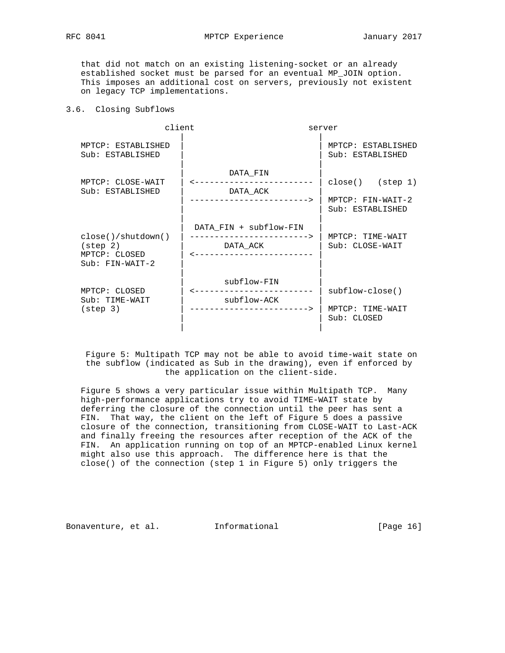that did not match on an existing listening-socket or an already established socket must be parsed for an eventual MP\_JOIN option. This imposes an additional cost on servers, previously not existent on legacy TCP implementations.

# 3.6. Closing Subflows

| client                                                                             | server                                                                           |                                                             |
|------------------------------------------------------------------------------------|----------------------------------------------------------------------------------|-------------------------------------------------------------|
| MPTCP: ESTABLISHED<br>Sub: ESTABLISHED                                             |                                                                                  | MPTCP: ESTABLISHED<br>Sub: ESTABLISHED                      |
| MPTCP: CLOSE-WAIT<br>Sub: ESTABLISHED                                              | DATA_FIN<br>-----------<br>DATA_ACK<br>--------------------->                    | $close()$ (step 1)<br>MPTCP: FIN-WAIT-2<br>Sub: ESTABLISHED |
| $close()$ /shutdown $()$<br>$(\text{step } 2)$<br>MPTCP: CLOSED<br>Sub: FIN-WAIT-2 | DATA_FIN + subflow-FIN<br>DATA_ACK                                               | MPTCP: TIME-WAIT<br>Sub: CLOSE-WAIT                         |
| MPTCP: CLOSED<br>Sub: TIME-WAIT<br>$(\text{step } 3)$                              | subflow-FIN<br><u>_______________</u><br>subflow-ACK<br>-----------------------> | subflow-close()<br>MPTCP: TIME-WAIT<br>Sub: CLOSED          |

 Figure 5: Multipath TCP may not be able to avoid time-wait state on the subflow (indicated as Sub in the drawing), even if enforced by the application on the client-side.

 Figure 5 shows a very particular issue within Multipath TCP. Many high-performance applications try to avoid TIME-WAIT state by deferring the closure of the connection until the peer has sent a FIN. That way, the client on the left of Figure 5 does a passive closure of the connection, transitioning from CLOSE-WAIT to Last-ACK and finally freeing the resources after reception of the ACK of the FIN. An application running on top of an MPTCP-enabled Linux kernel might also use this approach. The difference here is that the close() of the connection (step 1 in Figure 5) only triggers the

Bonaventure, et al. Informational [Page 16]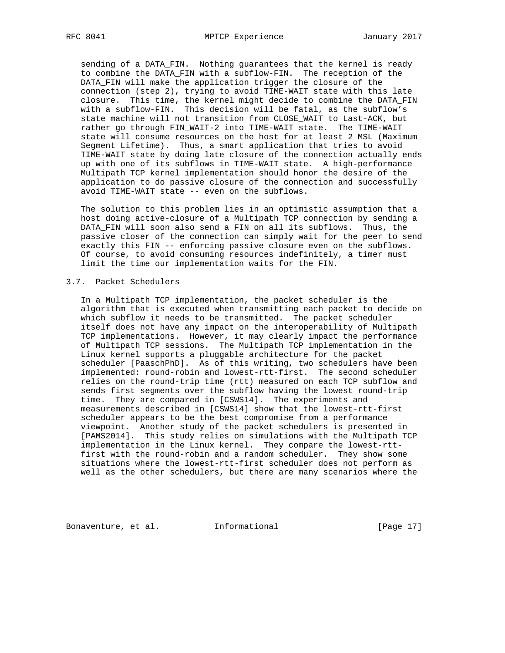sending of a DATA\_FIN. Nothing guarantees that the kernel is ready to combine the DATA\_FIN with a subflow-FIN. The reception of the DATA\_FIN will make the application trigger the closure of the connection (step 2), trying to avoid TIME-WAIT state with this late closure. This time, the kernel might decide to combine the DATA\_FIN with a subflow-FIN. This decision will be fatal, as the subflow's state machine will not transition from CLOSE\_WAIT to Last-ACK, but rather go through FIN\_WAIT-2 into TIME-WAIT state. The TIME-WAIT state will consume resources on the host for at least 2 MSL (Maximum Segment Lifetime). Thus, a smart application that tries to avoid TIME-WAIT state by doing late closure of the connection actually ends up with one of its subflows in TIME-WAIT state. A high-performance Multipath TCP kernel implementation should honor the desire of the application to do passive closure of the connection and successfully avoid TIME-WAIT state -- even on the subflows.

 The solution to this problem lies in an optimistic assumption that a host doing active-closure of a Multipath TCP connection by sending a DATA\_FIN will soon also send a FIN on all its subflows. Thus, the passive closer of the connection can simply wait for the peer to send exactly this FIN -- enforcing passive closure even on the subflows. Of course, to avoid consuming resources indefinitely, a timer must limit the time our implementation waits for the FIN.

# 3.7. Packet Schedulers

 In a Multipath TCP implementation, the packet scheduler is the algorithm that is executed when transmitting each packet to decide on which subflow it needs to be transmitted. The packet scheduler itself does not have any impact on the interoperability of Multipath TCP implementations. However, it may clearly impact the performance of Multipath TCP sessions. The Multipath TCP implementation in the Linux kernel supports a pluggable architecture for the packet scheduler [PaaschPhD]. As of this writing, two schedulers have been implemented: round-robin and lowest-rtt-first. The second scheduler relies on the round-trip time (rtt) measured on each TCP subflow and sends first segments over the subflow having the lowest round-trip time. They are compared in [CSWS14]. The experiments and measurements described in [CSWS14] show that the lowest-rtt-first scheduler appears to be the best compromise from a performance viewpoint. Another study of the packet schedulers is presented in [PAMS2014]. This study relies on simulations with the Multipath TCP implementation in the Linux kernel. They compare the lowest-rtt first with the round-robin and a random scheduler. They show some situations where the lowest-rtt-first scheduler does not perform as well as the other schedulers, but there are many scenarios where the

Bonaventure, et al. 1nformational [Page 17]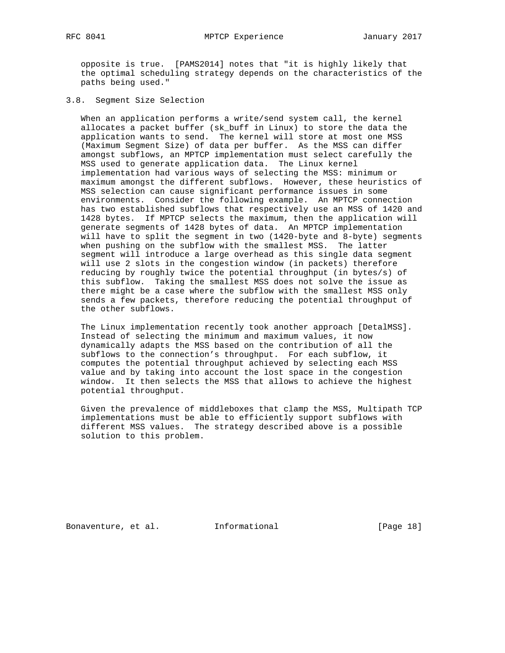opposite is true. [PAMS2014] notes that "it is highly likely that the optimal scheduling strategy depends on the characteristics of the paths being used."

3.8. Segment Size Selection

 When an application performs a write/send system call, the kernel allocates a packet buffer (sk\_buff in Linux) to store the data the application wants to send. The kernel will store at most one MSS (Maximum Segment Size) of data per buffer. As the MSS can differ amongst subflows, an MPTCP implementation must select carefully the MSS used to generate application data. The Linux kernel implementation had various ways of selecting the MSS: minimum or maximum amongst the different subflows. However, these heuristics of MSS selection can cause significant performance issues in some environments. Consider the following example. An MPTCP connection has two established subflows that respectively use an MSS of 1420 and 1428 bytes. If MPTCP selects the maximum, then the application will generate segments of 1428 bytes of data. An MPTCP implementation will have to split the segment in two (1420-byte and 8-byte) segments when pushing on the subflow with the smallest MSS. The latter segment will introduce a large overhead as this single data segment will use 2 slots in the congestion window (in packets) therefore reducing by roughly twice the potential throughput (in bytes/s) of this subflow. Taking the smallest MSS does not solve the issue as there might be a case where the subflow with the smallest MSS only sends a few packets, therefore reducing the potential throughput of the other subflows.

 The Linux implementation recently took another approach [DetalMSS]. Instead of selecting the minimum and maximum values, it now dynamically adapts the MSS based on the contribution of all the subflows to the connection's throughput. For each subflow, it computes the potential throughput achieved by selecting each MSS value and by taking into account the lost space in the congestion window. It then selects the MSS that allows to achieve the highest potential throughput.

 Given the prevalence of middleboxes that clamp the MSS, Multipath TCP implementations must be able to efficiently support subflows with different MSS values. The strategy described above is a possible solution to this problem.

Bonaventure, et al. 1nformational [Page 18]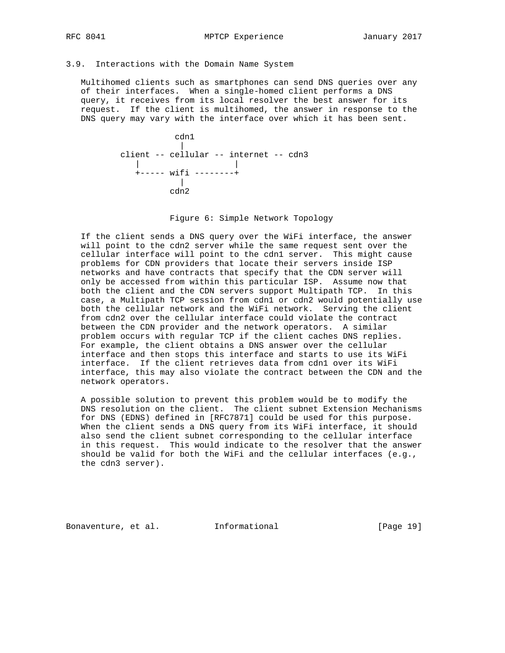## 3.9. Interactions with the Domain Name System

 Multihomed clients such as smartphones can send DNS queries over any of their interfaces. When a single-homed client performs a DNS query, it receives from its local resolver the best answer for its request. If the client is multihomed, the answer in response to the DNS query may vary with the interface over which it has been sent.



Figure 6: Simple Network Topology

 If the client sends a DNS query over the WiFi interface, the answer will point to the cdn2 server while the same request sent over the cellular interface will point to the cdn1 server. This might cause problems for CDN providers that locate their servers inside ISP networks and have contracts that specify that the CDN server will only be accessed from within this particular ISP. Assume now that both the client and the CDN servers support Multipath TCP. In this case, a Multipath TCP session from cdn1 or cdn2 would potentially use both the cellular network and the WiFi network. Serving the client from cdn2 over the cellular interface could violate the contract between the CDN provider and the network operators. A similar problem occurs with regular TCP if the client caches DNS replies. For example, the client obtains a DNS answer over the cellular interface and then stops this interface and starts to use its WiFi interface. If the client retrieves data from cdn1 over its WiFi interface, this may also violate the contract between the CDN and the network operators.

 A possible solution to prevent this problem would be to modify the DNS resolution on the client. The client subnet Extension Mechanisms for DNS (EDNS) defined in [RFC7871] could be used for this purpose. When the client sends a DNS query from its WiFi interface, it should also send the client subnet corresponding to the cellular interface in this request. This would indicate to the resolver that the answer should be valid for both the WiFi and the cellular interfaces (e.g., the cdn3 server).

Bonaventure, et al. 1nformational 1917 [Page 19]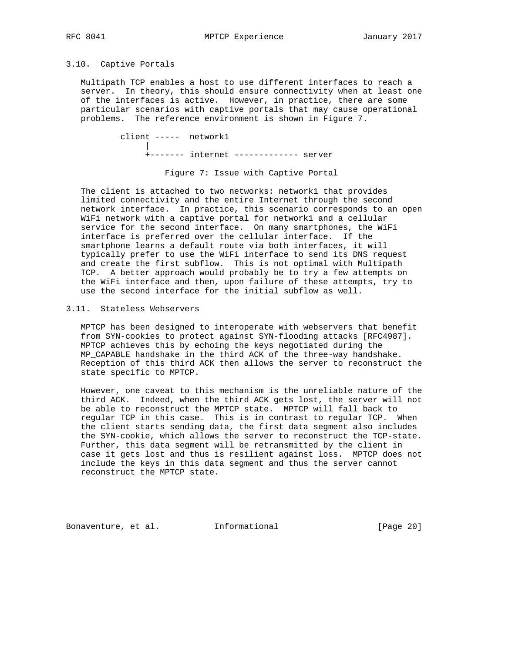## 3.10. Captive Portals

 Multipath TCP enables a host to use different interfaces to reach a server. In theory, this should ensure connectivity when at least one of the interfaces is active. However, in practice, there are some particular scenarios with captive portals that may cause operational problems. The reference environment is shown in Figure 7.

 client ----- network1 | +------- internet ------------- server

Figure 7: Issue with Captive Portal

 The client is attached to two networks: network1 that provides limited connectivity and the entire Internet through the second network interface. In practice, this scenario corresponds to an open WiFi network with a captive portal for network1 and a cellular service for the second interface. On many smartphones, the WiFi interface is preferred over the cellular interface. If the smartphone learns a default route via both interfaces, it will typically prefer to use the WiFi interface to send its DNS request and create the first subflow. This is not optimal with Multipath TCP. A better approach would probably be to try a few attempts on the WiFi interface and then, upon failure of these attempts, try to use the second interface for the initial subflow as well.

## 3.11. Stateless Webservers

 MPTCP has been designed to interoperate with webservers that benefit from SYN-cookies to protect against SYN-flooding attacks [RFC4987]. MPTCP achieves this by echoing the keys negotiated during the MP\_CAPABLE handshake in the third ACK of the three-way handshake. Reception of this third ACK then allows the server to reconstruct the state specific to MPTCP.

 However, one caveat to this mechanism is the unreliable nature of the third ACK. Indeed, when the third ACK gets lost, the server will not be able to reconstruct the MPTCP state. MPTCP will fall back to regular TCP in this case. This is in contrast to regular TCP. When the client starts sending data, the first data segment also includes the SYN-cookie, which allows the server to reconstruct the TCP-state. Further, this data segment will be retransmitted by the client in case it gets lost and thus is resilient against loss. MPTCP does not include the keys in this data segment and thus the server cannot reconstruct the MPTCP state.

Bonaventure, et al. 1nformational [Page 20]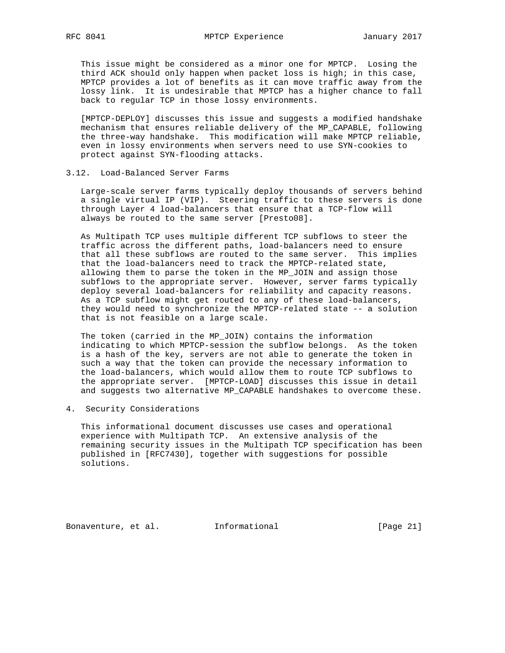This issue might be considered as a minor one for MPTCP. Losing the third ACK should only happen when packet loss is high; in this case, MPTCP provides a lot of benefits as it can move traffic away from the lossy link. It is undesirable that MPTCP has a higher chance to fall back to regular TCP in those lossy environments.

 [MPTCP-DEPLOY] discusses this issue and suggests a modified handshake mechanism that ensures reliable delivery of the MP\_CAPABLE, following the three-way handshake. This modification will make MPTCP reliable, even in lossy environments when servers need to use SYN-cookies to protect against SYN-flooding attacks.

## 3.12. Load-Balanced Server Farms

 Large-scale server farms typically deploy thousands of servers behind a single virtual IP (VIP). Steering traffic to these servers is done through Layer 4 load-balancers that ensure that a TCP-flow will always be routed to the same server [Presto08].

 As Multipath TCP uses multiple different TCP subflows to steer the traffic across the different paths, load-balancers need to ensure that all these subflows are routed to the same server. This implies that the load-balancers need to track the MPTCP-related state, allowing them to parse the token in the MP\_JOIN and assign those subflows to the appropriate server. However, server farms typically deploy several load-balancers for reliability and capacity reasons. As a TCP subflow might get routed to any of these load-balancers, they would need to synchronize the MPTCP-related state -- a solution that is not feasible on a large scale.

 The token (carried in the MP\_JOIN) contains the information indicating to which MPTCP-session the subflow belongs. As the token is a hash of the key, servers are not able to generate the token in such a way that the token can provide the necessary information to the load-balancers, which would allow them to route TCP subflows to the appropriate server. [MPTCP-LOAD] discusses this issue in detail and suggests two alternative MP\_CAPABLE handshakes to overcome these.

4. Security Considerations

 This informational document discusses use cases and operational experience with Multipath TCP. An extensive analysis of the remaining security issues in the Multipath TCP specification has been published in [RFC7430], together with suggestions for possible solutions.

Bonaventure, et al. 1nformational [Page 21]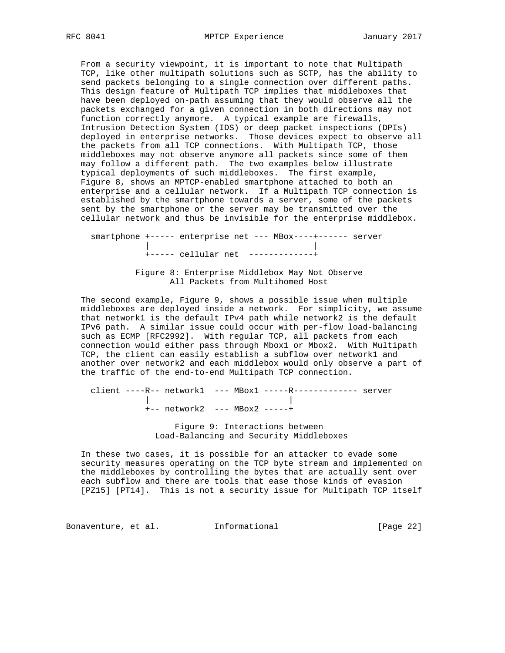From a security viewpoint, it is important to note that Multipath TCP, like other multipath solutions such as SCTP, has the ability to send packets belonging to a single connection over different paths. This design feature of Multipath TCP implies that middleboxes that have been deployed on-path assuming that they would observe all the packets exchanged for a given connection in both directions may not function correctly anymore. A typical example are firewalls, Intrusion Detection System (IDS) or deep packet inspections (DPIs) deployed in enterprise networks. Those devices expect to observe all the packets from all TCP connections. With Multipath TCP, those middleboxes may not observe anymore all packets since some of them may follow a different path. The two examples below illustrate typical deployments of such middleboxes. The first example, Figure 8, shows an MPTCP-enabled smartphone attached to both an enterprise and a cellular network. If a Multipath TCP connection is established by the smartphone towards a server, some of the packets sent by the smartphone or the server may be transmitted over the cellular network and thus be invisible for the enterprise middlebox.

 smartphone +----- enterprise net --- MBox----+------ server | | +----- cellular net -------------+ Figure 8: Enterprise Middlebox May Not Observe

All Packets from Multihomed Host

 The second example, Figure 9, shows a possible issue when multiple middleboxes are deployed inside a network. For simplicity, we assume that network1 is the default IPv4 path while network2 is the default IPv6 path. A similar issue could occur with per-flow load-balancing such as ECMP [RFC2992]. With regular TCP, all packets from each connection would either pass through Mbox1 or Mbox2. With Multipath TCP, the client can easily establish a subflow over network1 and another over network2 and each middlebox would only observe a part of the traffic of the end-to-end Multipath TCP connection.

 client ----R-- network1 --- MBox1 -----R------------- server | | +-- network2 --- MBox2 -----+

> Figure 9: Interactions between Load-Balancing and Security Middleboxes

 In these two cases, it is possible for an attacker to evade some security measures operating on the TCP byte stream and implemented on the middleboxes by controlling the bytes that are actually sent over each subflow and there are tools that ease those kinds of evasion [PZ15] [PT14]. This is not a security issue for Multipath TCP itself

Bonaventure, et al. 1nformational [Page 22]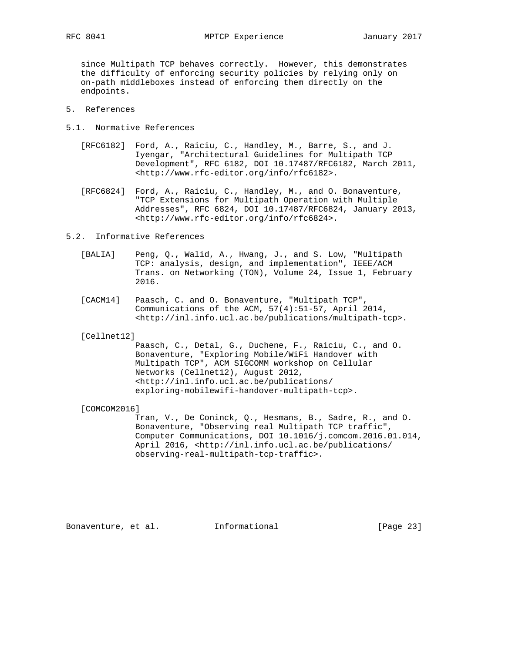since Multipath TCP behaves correctly. However, this demonstrates the difficulty of enforcing security policies by relying only on on-path middleboxes instead of enforcing them directly on the endpoints.

- 5. References
- 5.1. Normative References
	- [RFC6182] Ford, A., Raiciu, C., Handley, M., Barre, S., and J. Iyengar, "Architectural Guidelines for Multipath TCP Development", RFC 6182, DOI 10.17487/RFC6182, March 2011, <http://www.rfc-editor.org/info/rfc6182>.
	- [RFC6824] Ford, A., Raiciu, C., Handley, M., and O. Bonaventure, "TCP Extensions for Multipath Operation with Multiple Addresses", RFC 6824, DOI 10.17487/RFC6824, January 2013, <http://www.rfc-editor.org/info/rfc6824>.

#### 5.2. Informative References

- [BALIA] Peng, Q., Walid, A., Hwang, J., and S. Low, "Multipath TCP: analysis, design, and implementation", IEEE/ACM Trans. on Networking (TON), Volume 24, Issue 1, February 2016.
- [CACM14] Paasch, C. and O. Bonaventure, "Multipath TCP", Communications of the ACM, 57(4):51-57, April 2014, <http://inl.info.ucl.ac.be/publications/multipath-tcp>.

[Cellnet12]

 Paasch, C., Detal, G., Duchene, F., Raiciu, C., and O. Bonaventure, "Exploring Mobile/WiFi Handover with Multipath TCP", ACM SIGCOMM workshop on Cellular Networks (Cellnet12), August 2012, <http://inl.info.ucl.ac.be/publications/ exploring-mobilewifi-handover-multipath-tcp>.

[COMCOM2016]

 Tran, V., De Coninck, Q., Hesmans, B., Sadre, R., and O. Bonaventure, "Observing real Multipath TCP traffic", Computer Communications, DOI 10.1016/j.comcom.2016.01.014, April 2016, <http://inl.info.ucl.ac.be/publications/ observing-real-multipath-tcp-traffic>.

Bonaventure, et al. 1nformational 1999 [Page 23]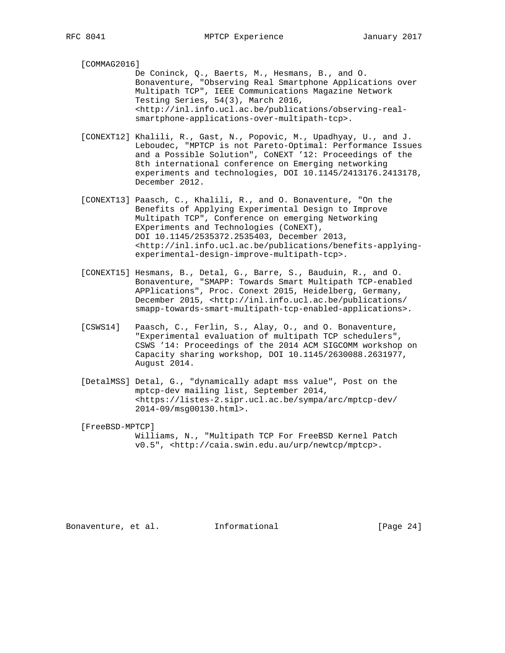[COMMAG2016]

 De Coninck, Q., Baerts, M., Hesmans, B., and O. Bonaventure, "Observing Real Smartphone Applications over Multipath TCP", IEEE Communications Magazine Network Testing Series, 54(3), March 2016, <http://inl.info.ucl.ac.be/publications/observing-real smartphone-applications-over-multipath-tcp>.

- [CONEXT12] Khalili, R., Gast, N., Popovic, M., Upadhyay, U., and J. Leboudec, "MPTCP is not Pareto-Optimal: Performance Issues and a Possible Solution", CoNEXT '12: Proceedings of the 8th international conference on Emerging networking experiments and technologies, DOI 10.1145/2413176.2413178, December 2012.
- [CONEXT13] Paasch, C., Khalili, R., and O. Bonaventure, "On the Benefits of Applying Experimental Design to Improve Multipath TCP", Conference on emerging Networking EXperiments and Technologies (CoNEXT), DOI 10.1145/2535372.2535403, December 2013, <http://inl.info.ucl.ac.be/publications/benefits-applying experimental-design-improve-multipath-tcp>.
- [CONEXT15] Hesmans, B., Detal, G., Barre, S., Bauduin, R., and O. Bonaventure, "SMAPP: Towards Smart Multipath TCP-enabled APPlications", Proc. Conext 2015, Heidelberg, Germany, December 2015, <http://inl.info.ucl.ac.be/publications/ smapp-towards-smart-multipath-tcp-enabled-applications>.
- [CSWS14] Paasch, C., Ferlin, S., Alay, O., and O. Bonaventure, "Experimental evaluation of multipath TCP schedulers", CSWS '14: Proceedings of the 2014 ACM SIGCOMM workshop on Capacity sharing workshop, DOI 10.1145/2630088.2631977, August 2014.
- [DetalMSS] Detal, G., "dynamically adapt mss value", Post on the mptcp-dev mailing list, September 2014, <https://listes-2.sipr.ucl.ac.be/sympa/arc/mptcp-dev/ 2014-09/msg00130.html>.

 [FreeBSD-MPTCP] Williams, N., "Multipath TCP For FreeBSD Kernel Patch v0.5", <http://caia.swin.edu.au/urp/newtcp/mptcp>.

Bonaventure, et al. 1nformational 1999 [Page 24]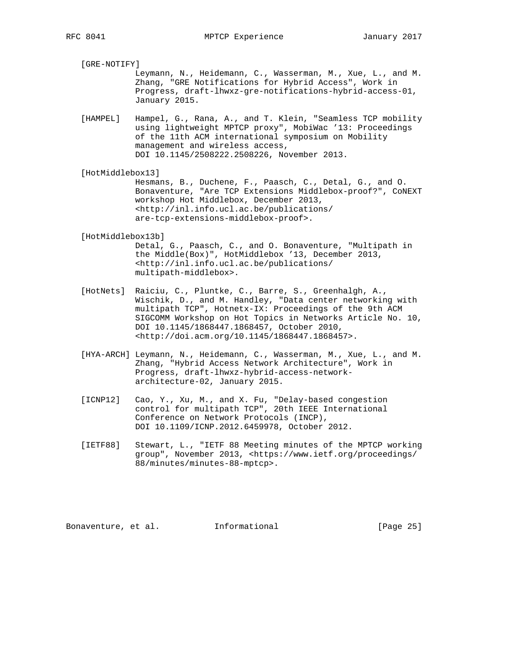[GRE-NOTIFY]

 Leymann, N., Heidemann, C., Wasserman, M., Xue, L., and M. Zhang, "GRE Notifications for Hybrid Access", Work in Progress, draft-lhwxz-gre-notifications-hybrid-access-01, January 2015.

[HAMPEL] Hampel, G., Rana, A., and T. Klein, "Seamless TCP mobility using lightweight MPTCP proxy", MobiWac '13: Proceedings of the 11th ACM international symposium on Mobility management and wireless access, DOI 10.1145/2508222.2508226, November 2013.

[HotMiddlebox13]

 Hesmans, B., Duchene, F., Paasch, C., Detal, G., and O. Bonaventure, "Are TCP Extensions Middlebox-proof?", CoNEXT workshop Hot Middlebox, December 2013, <http://inl.info.ucl.ac.be/publications/ are-tcp-extensions-middlebox-proof>.

[HotMiddlebox13b]

 Detal, G., Paasch, C., and O. Bonaventure, "Multipath in the Middle(Box)", HotMiddlebox '13, December 2013, <http://inl.info.ucl.ac.be/publications/ multipath-middlebox>.

- [HotNets] Raiciu, C., Pluntke, C., Barre, S., Greenhalgh, A., Wischik, D., and M. Handley, "Data center networking with multipath TCP", Hotnetx-IX: Proceedings of the 9th ACM SIGCOMM Workshop on Hot Topics in Networks Article No. 10, DOI 10.1145/1868447.1868457, October 2010, <http://doi.acm.org/10.1145/1868447.1868457>.
- [HYA-ARCH] Leymann, N., Heidemann, C., Wasserman, M., Xue, L., and M. Zhang, "Hybrid Access Network Architecture", Work in Progress, draft-lhwxz-hybrid-access-network architecture-02, January 2015.
- [ICNP12] Cao, Y., Xu, M., and X. Fu, "Delay-based congestion control for multipath TCP", 20th IEEE International Conference on Network Protocols (INCP), DOI 10.1109/ICNP.2012.6459978, October 2012.
- [IETF88] Stewart, L., "IETF 88 Meeting minutes of the MPTCP working group", November 2013, <https://www.ietf.org/proceedings/ 88/minutes/minutes-88-mptcp>.

Bonaventure, et al. 1nformational 1999 [Page 25]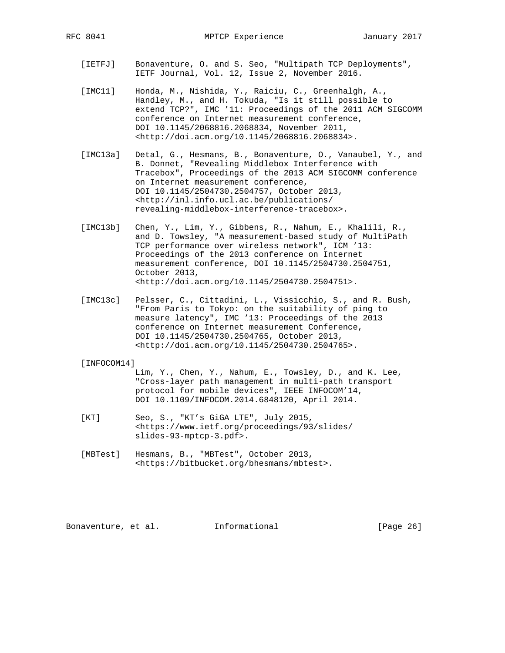- [IETFJ] Bonaventure, O. and S. Seo, "Multipath TCP Deployments", IETF Journal, Vol. 12, Issue 2, November 2016.
- [IMC11] Honda, M., Nishida, Y., Raiciu, C., Greenhalgh, A., Handley, M., and H. Tokuda, "Is it still possible to extend TCP?", IMC '11: Proceedings of the 2011 ACM SIGCOMM conference on Internet measurement conference, DOI 10.1145/2068816.2068834, November 2011, <http://doi.acm.org/10.1145/2068816.2068834>.
- [IMC13a] Detal, G., Hesmans, B., Bonaventure, O., Vanaubel, Y., and B. Donnet, "Revealing Middlebox Interference with Tracebox", Proceedings of the 2013 ACM SIGCOMM conference on Internet measurement conference, DOI 10.1145/2504730.2504757, October 2013, <http://inl.info.ucl.ac.be/publications/ revealing-middlebox-interference-tracebox>.
- [IMC13b] Chen, Y., Lim, Y., Gibbens, R., Nahum, E., Khalili, R., and D. Towsley, "A measurement-based study of MultiPath TCP performance over wireless network", ICM '13: Proceedings of the 2013 conference on Internet measurement conference, DOI 10.1145/2504730.2504751, October 2013, <http://doi.acm.org/10.1145/2504730.2504751>.
- [IMC13c] Pelsser, C., Cittadini, L., Vissicchio, S., and R. Bush, "From Paris to Tokyo: on the suitability of ping to measure latency", IMC '13: Proceedings of the 2013 conference on Internet measurement Conference, DOI 10.1145/2504730.2504765, October 2013, <http://doi.acm.org/10.1145/2504730.2504765>.

#### [INFOCOM14]

 Lim, Y., Chen, Y., Nahum, E., Towsley, D., and K. Lee, "Cross-layer path management in multi-path transport protocol for mobile devices", IEEE INFOCOM'14, DOI 10.1109/INFOCOM.2014.6848120, April 2014.

- [KT] Seo, S., "KT's GiGA LTE", July 2015, <https://www.ietf.org/proceedings/93/slides/ slides-93-mptcp-3.pdf>.
- [MBTest] Hesmans, B., "MBTest", October 2013, <https://bitbucket.org/bhesmans/mbtest>.

Bonaventure, et al. Informational [Page 26]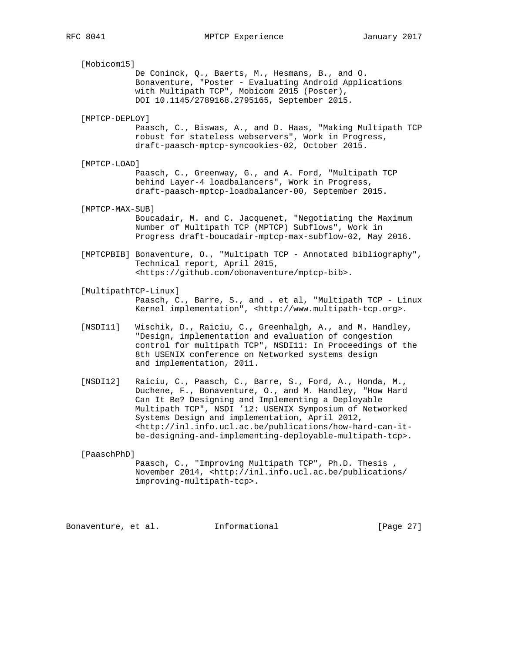[Mobicom15] De Coninck, Q., Baerts, M., Hesmans, B., and O. Bonaventure, "Poster - Evaluating Android Applications with Multipath TCP", Mobicom 2015 (Poster), DOI 10.1145/2789168.2795165, September 2015. [MPTCP-DEPLOY] Paasch, C., Biswas, A., and D. Haas, "Making Multipath TCP robust for stateless webservers", Work in Progress, draft-paasch-mptcp-syncookies-02, October 2015. [MPTCP-LOAD] Paasch, C., Greenway, G., and A. Ford, "Multipath TCP behind Layer-4 loadbalancers", Work in Progress, draft-paasch-mptcp-loadbalancer-00, September 2015. [MPTCP-MAX-SUB] Boucadair, M. and C. Jacquenet, "Negotiating the Maximum Number of Multipath TCP (MPTCP) Subflows", Work in Progress draft-boucadair-mptcp-max-subflow-02, May 2016. [MPTCPBIB] Bonaventure, O., "Multipath TCP - Annotated bibliography", Technical report, April 2015, <https://github.com/obonaventure/mptcp-bib>. [MultipathTCP-Linux] Paasch, C., Barre, S., and . et al, "Multipath TCP - Linux Kernel implementation", <http://www.multipath-tcp.org>. [NSDI11] Wischik, D., Raiciu, C., Greenhalgh, A., and M. Handley, "Design, implementation and evaluation of congestion control for multipath TCP", NSDI11: In Proceedings of the 8th USENIX conference on Networked systems design

 [NSDI12] Raiciu, C., Paasch, C., Barre, S., Ford, A., Honda, M., Duchene, F., Bonaventure, O., and M. Handley, "How Hard Can It Be? Designing and Implementing a Deployable Multipath TCP", NSDI '12: USENIX Symposium of Networked Systems Design and implementation, April 2012, <http://inl.info.ucl.ac.be/publications/how-hard-can-it be-designing-and-implementing-deployable-multipath-tcp>.

and implementation, 2011.

[PaaschPhD]

 Paasch, C., "Improving Multipath TCP", Ph.D. Thesis , November 2014, <http://inl.info.ucl.ac.be/publications/ improving-multipath-tcp>.

Bonaventure, et al. 1nformational 1999 [Page 27]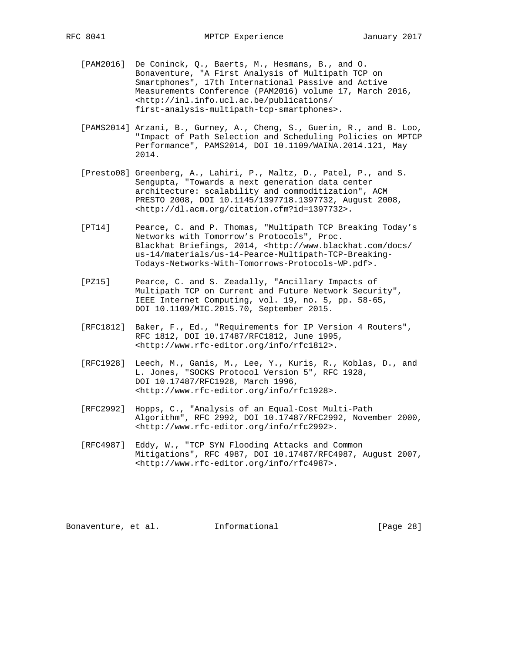- [PAM2016] De Coninck, Q., Baerts, M., Hesmans, B., and O. Bonaventure, "A First Analysis of Multipath TCP on Smartphones", 17th International Passive and Active Measurements Conference (PAM2016) volume 17, March 2016, <http://inl.info.ucl.ac.be/publications/ first-analysis-multipath-tcp-smartphones>.
- [PAMS2014] Arzani, B., Gurney, A., Cheng, S., Guerin, R., and B. Loo, "Impact of Path Selection and Scheduling Policies on MPTCP Performance", PAMS2014, DOI 10.1109/WAINA.2014.121, May 2014.
- [Presto08] Greenberg, A., Lahiri, P., Maltz, D., Patel, P., and S. Sengupta, "Towards a next generation data center architecture: scalability and commoditization", ACM PRESTO 2008, DOI 10.1145/1397718.1397732, August 2008, <http://dl.acm.org/citation.cfm?id=1397732>.
- [PT14] Pearce, C. and P. Thomas, "Multipath TCP Breaking Today's Networks with Tomorrow's Protocols", Proc. Blackhat Briefings, 2014, <http://www.blackhat.com/docs/ us-14/materials/us-14-Pearce-Multipath-TCP-Breaking- Todays-Networks-With-Tomorrows-Protocols-WP.pdf>.
- [PZ15] Pearce, C. and S. Zeadally, "Ancillary Impacts of Multipath TCP on Current and Future Network Security", IEEE Internet Computing, vol. 19, no. 5, pp. 58-65, DOI 10.1109/MIC.2015.70, September 2015.
- [RFC1812] Baker, F., Ed., "Requirements for IP Version 4 Routers", RFC 1812, DOI 10.17487/RFC1812, June 1995, <http://www.rfc-editor.org/info/rfc1812>.
- [RFC1928] Leech, M., Ganis, M., Lee, Y., Kuris, R., Koblas, D., and L. Jones, "SOCKS Protocol Version 5", RFC 1928, DOI 10.17487/RFC1928, March 1996, <http://www.rfc-editor.org/info/rfc1928>.
- [RFC2992] Hopps, C., "Analysis of an Equal-Cost Multi-Path Algorithm", RFC 2992, DOI 10.17487/RFC2992, November 2000, <http://www.rfc-editor.org/info/rfc2992>.
	- [RFC4987] Eddy, W., "TCP SYN Flooding Attacks and Common Mitigations", RFC 4987, DOI 10.17487/RFC4987, August 2007, <http://www.rfc-editor.org/info/rfc4987>.

Bonaventure, et al. 1nformational [Page 28]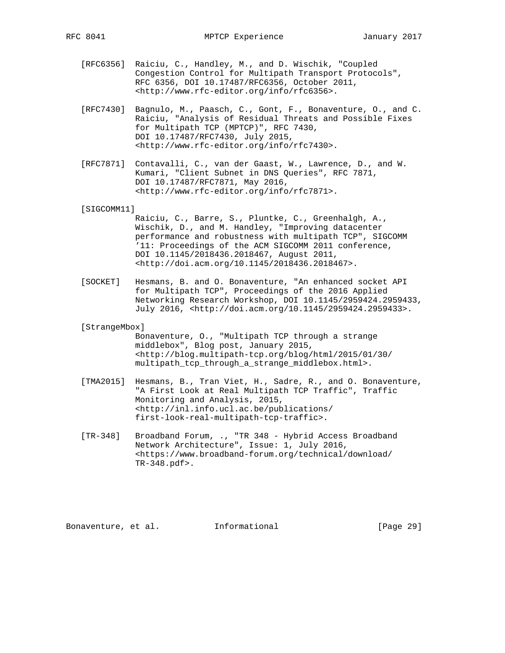- [RFC6356] Raiciu, C., Handley, M., and D. Wischik, "Coupled Congestion Control for Multipath Transport Protocols", RFC 6356, DOI 10.17487/RFC6356, October 2011, <http://www.rfc-editor.org/info/rfc6356>.
- [RFC7430] Bagnulo, M., Paasch, C., Gont, F., Bonaventure, O., and C. Raiciu, "Analysis of Residual Threats and Possible Fixes for Multipath TCP (MPTCP)", RFC 7430, DOI 10.17487/RFC7430, July 2015, <http://www.rfc-editor.org/info/rfc7430>.
- [RFC7871] Contavalli, C., van der Gaast, W., Lawrence, D., and W. Kumari, "Client Subnet in DNS Queries", RFC 7871, DOI 10.17487/RFC7871, May 2016, <http://www.rfc-editor.org/info/rfc7871>.

#### [SIGCOMM11]

- Raiciu, C., Barre, S., Pluntke, C., Greenhalgh, A., Wischik, D., and M. Handley, "Improving datacenter performance and robustness with multipath TCP", SIGCOMM '11: Proceedings of the ACM SIGCOMM 2011 conference, DOI 10.1145/2018436.2018467, August 2011, <http://doi.acm.org/10.1145/2018436.2018467>.
- [SOCKET] Hesmans, B. and O. Bonaventure, "An enhanced socket API for Multipath TCP", Proceedings of the 2016 Applied Networking Research Workshop, DOI 10.1145/2959424.2959433, July 2016, <http://doi.acm.org/10.1145/2959424.2959433>.
- [StrangeMbox]

 Bonaventure, O., "Multipath TCP through a strange middlebox", Blog post, January 2015, <http://blog.multipath-tcp.org/blog/html/2015/01/30/ multipath\_tcp\_through\_a\_strange\_middlebox.html>.

- [TMA2015] Hesmans, B., Tran Viet, H., Sadre, R., and O. Bonaventure, "A First Look at Real Multipath TCP Traffic", Traffic Monitoring and Analysis, 2015, <http://inl.info.ucl.ac.be/publications/ first-look-real-multipath-tcp-traffic>.
- [TR-348] Broadband Forum, ., "TR 348 Hybrid Access Broadband Network Architecture", Issue: 1, July 2016, <https://www.broadband-forum.org/technical/download/ TR-348.pdf>.

Bonaventure, et al. Informational [Page 29]